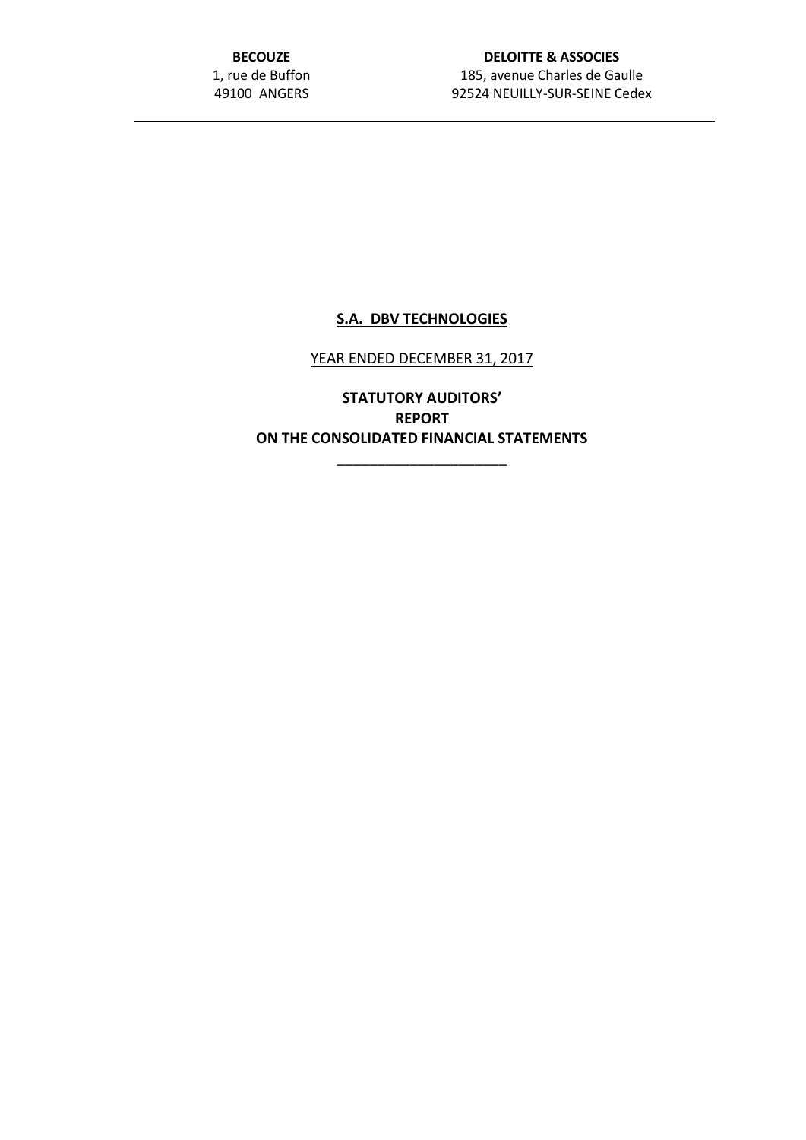**BECOUZE** 1, rue de Buffon 49100 ANGERS

## **DELOITTE & ASSOCIES** 185, avenue Charles de Gaulle 92524 NEUILLY-SUR-SEINE Cedex

# **S.A. DBV TECHNOLOGIES**

## YEAR ENDED DECEMBER 31, 2017

**STATUTORY AUDITORS' REPORT ON THE CONSOLIDATED FINANCIAL STATEMENTS**

\_\_\_\_\_\_\_\_\_\_\_\_\_\_\_\_\_\_\_\_\_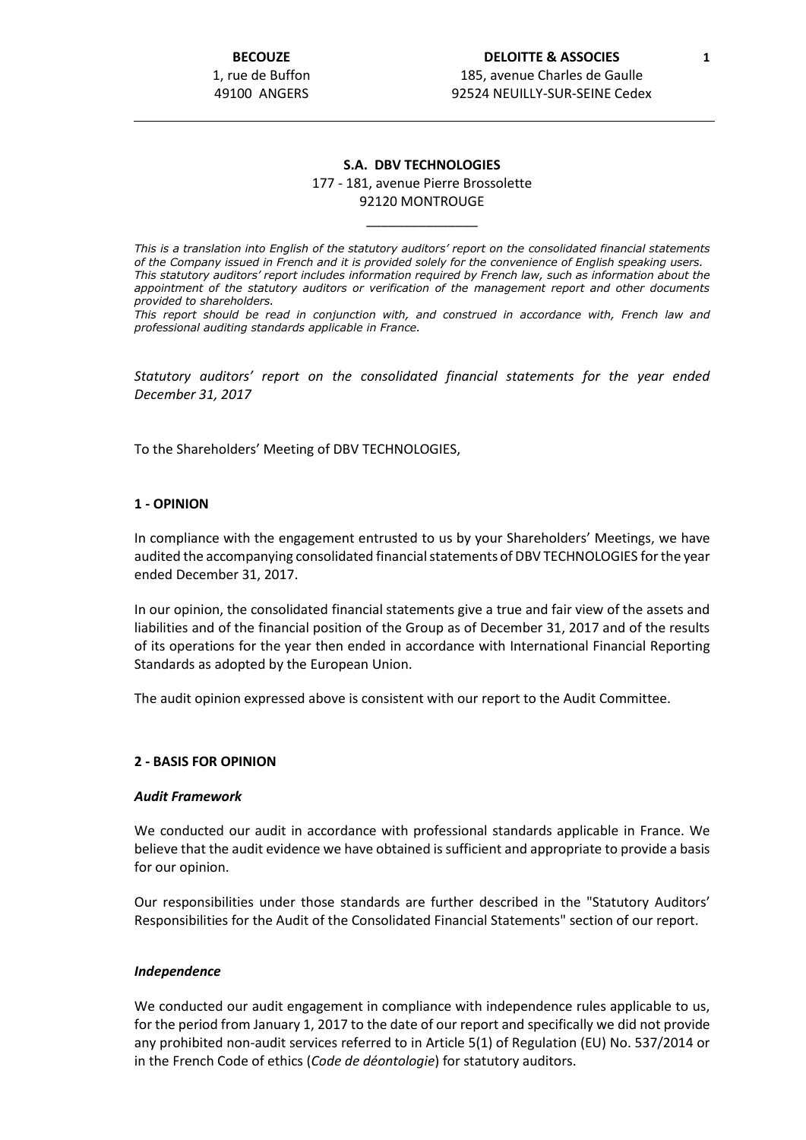**BECOUZE** 1, rue de Buffon 49100 ANGERS

### **S.A. DBV TECHNOLOGIES** 177 - 181, avenue Pierre Brossolette 92120 MONTROUGE

\_\_\_\_\_\_\_\_\_\_\_\_\_\_\_

*This is a translation into English of the statutory auditors' report on the consolidated financial statements of the Company issued in French and it is provided solely for the convenience of English speaking users. This statutory auditors' report includes information required by French law, such as information about the appointment of the statutory auditors or verification of the management report and other documents provided to shareholders.*

*This report should be read in conjunction with, and construed in accordance with, French law and professional auditing standards applicable in France.*

*Statutory auditors' report on the consolidated financial statements for the year ended December 31, 2017*

To the Shareholders' Meeting of DBV TECHNOLOGIES,

### **1 - OPINION**

In compliance with the engagement entrusted to us by your Shareholders' Meetings, we have audited the accompanying consolidated financial statements of DBV TECHNOLOGIES for the year ended December 31, 2017.

In our opinion, the consolidated financial statements give a true and fair view of the assets and liabilities and of the financial position of the Group as of December 31, 2017 and of the results of its operations for the year then ended in accordance with International Financial Reporting Standards as adopted by the European Union.

The audit opinion expressed above is consistent with our report to the Audit Committee.

### **2 - BASIS FOR OPINION**

#### *Audit Framework*

We conducted our audit in accordance with professional standards applicable in France. We believe that the audit evidence we have obtained is sufficient and appropriate to provide a basis for our opinion.

Our responsibilities under those standards are further described in the "Statutory Auditors' Responsibilities for the Audit of the Consolidated Financial Statements" section of our report.

#### *Independence*

We conducted our audit engagement in compliance with independence rules applicable to us, for the period from January 1, 2017 to the date of our report and specifically we did not provide any prohibited non-audit services referred to in Article 5(1) of Regulation (EU) No. 537/2014 or in the French Code of ethics (*Code de déontologie*) for statutory auditors.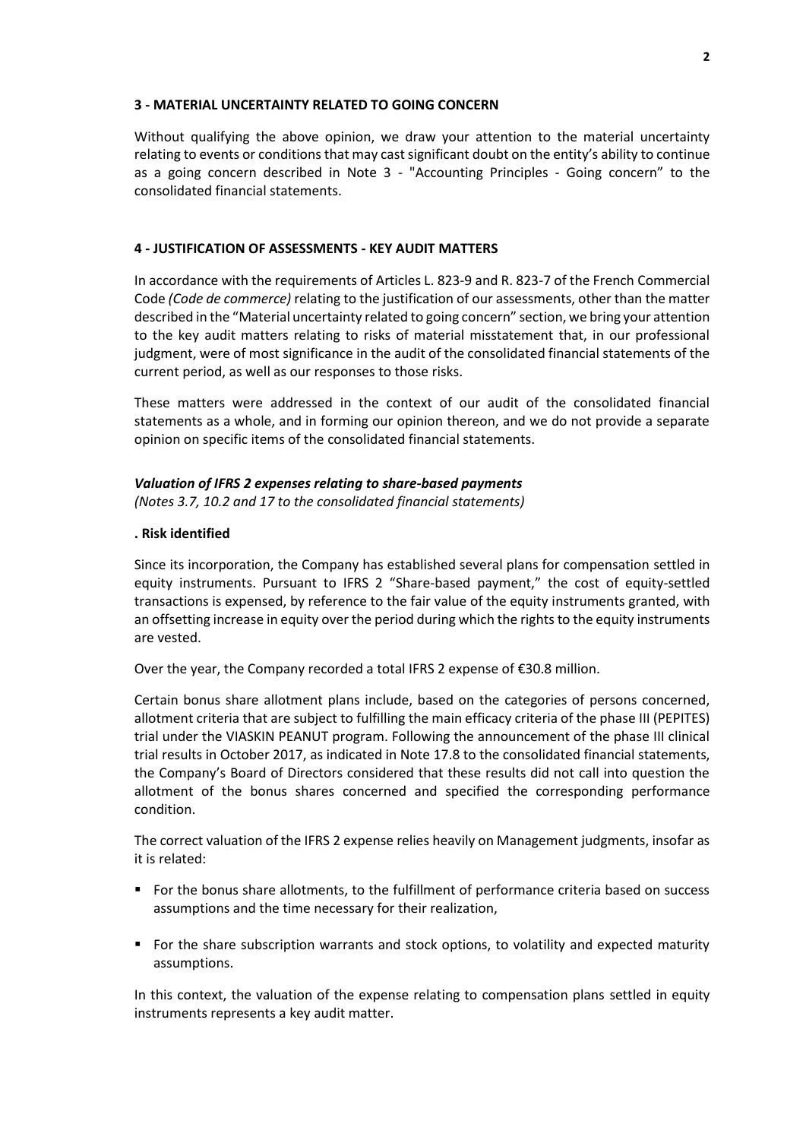### **3 - MATERIAL UNCERTAINTY RELATED TO GOING CONCERN**

Without qualifying the above opinion, we draw your attention to the material uncertainty relating to events or conditions that may cast significant doubt on the entity's ability to continue as a going concern described in Note 3 - "Accounting Principles - Going concern" to the consolidated financial statements.

## **4 - JUSTIFICATION OF ASSESSMENTS - KEY AUDIT MATTERS**

In accordance with the requirements of Articles L. 823-9 and R. 823-7 of the French Commercial Code *(Code de commerce)* relating to the justification of our assessments, other than the matter described in the "Material uncertainty related to going concern" section, we bring your attention to the key audit matters relating to risks of material misstatement that, in our professional judgment, were of most significance in the audit of the consolidated financial statements of the current period, as well as our responses to those risks.

These matters were addressed in the context of our audit of the consolidated financial statements as a whole, and in forming our opinion thereon, and we do not provide a separate opinion on specific items of the consolidated financial statements.

#### *Valuation of IFRS 2 expenses relating to share-based payments*

*(Notes 3.7, 10.2 and 17 to the consolidated financial statements)*

#### **. Risk identified**

Since its incorporation, the Company has established several plans for compensation settled in equity instruments. Pursuant to IFRS 2 "Share-based payment," the cost of equity-settled transactions is expensed, by reference to the fair value of the equity instruments granted, with an offsetting increase in equity over the period during which the rights to the equity instruments are vested.

Over the year, the Company recorded a total IFRS 2 expense of €30.8 million.

Certain bonus share allotment plans include, based on the categories of persons concerned, allotment criteria that are subject to fulfilling the main efficacy criteria of the phase III (PEPITES) trial under the VIASKIN PEANUT program. Following the announcement of the phase III clinical trial results in October 2017, as indicated in Note 17.8 to the consolidated financial statements, the Company's Board of Directors considered that these results did not call into question the allotment of the bonus shares concerned and specified the corresponding performance condition.

The correct valuation of the IFRS 2 expense relies heavily on Management judgments, insofar as it is related:

- For the bonus share allotments, to the fulfillment of performance criteria based on success assumptions and the time necessary for their realization,
- For the share subscription warrants and stock options, to volatility and expected maturity assumptions.

In this context, the valuation of the expense relating to compensation plans settled in equity instruments represents a key audit matter.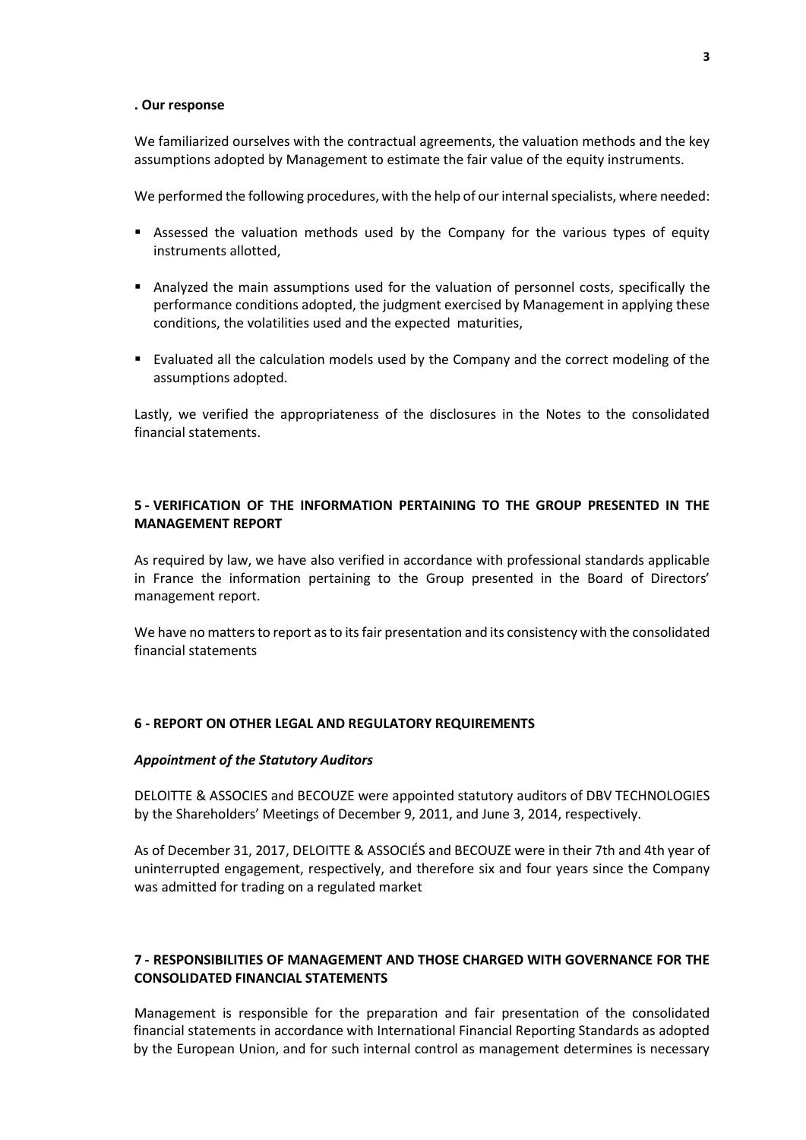#### **. Our response**

We familiarized ourselves with the contractual agreements, the valuation methods and the key assumptions adopted by Management to estimate the fair value of the equity instruments.

We performed the following procedures, with the help of our internal specialists, where needed:

- **E** Assessed the valuation methods used by the Company for the various types of equity instruments allotted,
- Analyzed the main assumptions used for the valuation of personnel costs, specifically the performance conditions adopted, the judgment exercised by Management in applying these conditions, the volatilities used and the expected maturities,
- Evaluated all the calculation models used by the Company and the correct modeling of the assumptions adopted.

Lastly, we verified the appropriateness of the disclosures in the Notes to the consolidated financial statements.

## **5 - VERIFICATION OF THE INFORMATION PERTAINING TO THE GROUP PRESENTED IN THE MANAGEMENT REPORT**

As required by law, we have also verified in accordance with professional standards applicable in France the information pertaining to the Group presented in the Board of Directors' management report.

We have no matters to report as to its fair presentation and its consistency with the consolidated financial statements

## **6 - REPORT ON OTHER LEGAL AND REGULATORY REQUIREMENTS**

#### *Appointment of the Statutory Auditors*

DELOITTE & ASSOCIES and BECOUZE were appointed statutory auditors of DBV TECHNOLOGIES by the Shareholders' Meetings of December 9, 2011, and June 3, 2014, respectively.

As of December 31, 2017, DELOITTE & ASSOCIÉS and BECOUZE were in their 7th and 4th year of uninterrupted engagement, respectively, and therefore six and four years since the Company was admitted for trading on a regulated market

## **7 - RESPONSIBILITIES OF MANAGEMENT AND THOSE CHARGED WITH GOVERNANCE FOR THE CONSOLIDATED FINANCIAL STATEMENTS**

Management is responsible for the preparation and fair presentation of the consolidated financial statements in accordance with International Financial Reporting Standards as adopted by the European Union, and for such internal control as management determines is necessary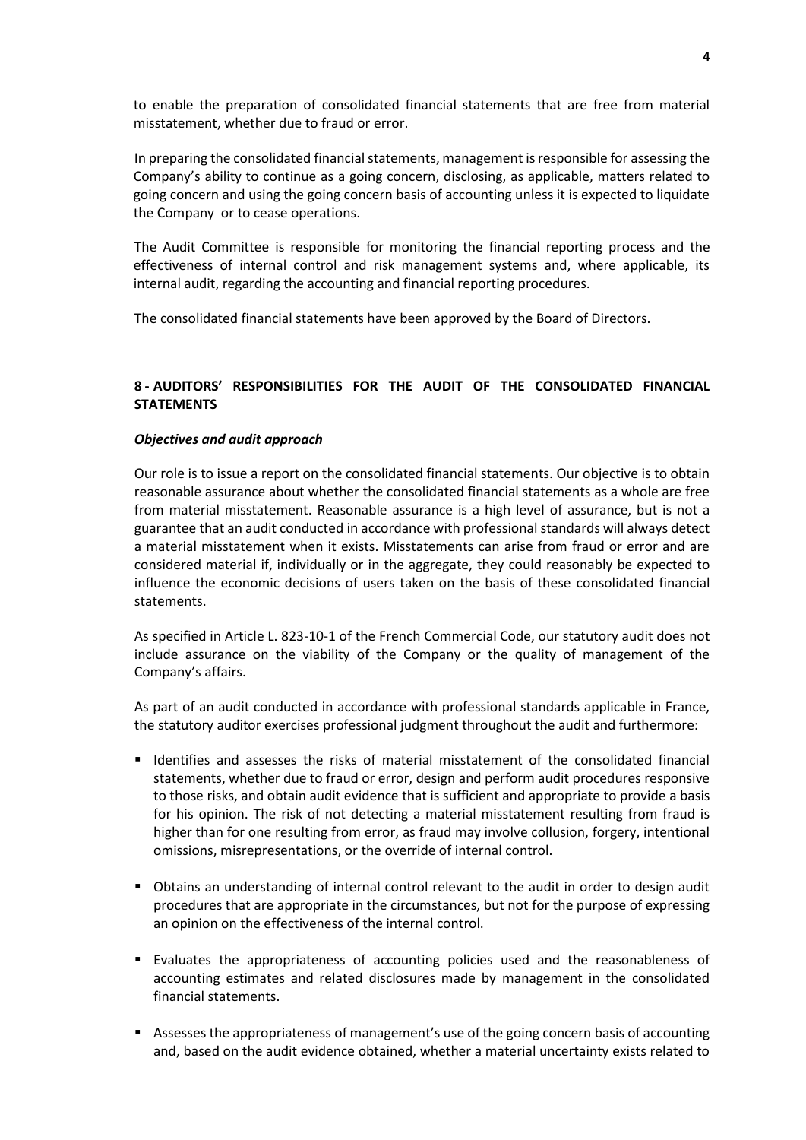to enable the preparation of consolidated financial statements that are free from material misstatement, whether due to fraud or error.

In preparing the consolidated financial statements, management is responsible for assessing the Company's ability to continue as a going concern, disclosing, as applicable, matters related to going concern and using the going concern basis of accounting unless it is expected to liquidate the Company or to cease operations.

The Audit Committee is responsible for monitoring the financial reporting process and the effectiveness of internal control and risk management systems and, where applicable, its internal audit, regarding the accounting and financial reporting procedures.

The consolidated financial statements have been approved by the Board of Directors.

## **8 - AUDITORS' RESPONSIBILITIES FOR THE AUDIT OF THE CONSOLIDATED FINANCIAL STATEMENTS**

### *Objectives and audit approach*

Our role is to issue a report on the consolidated financial statements. Our objective is to obtain reasonable assurance about whether the consolidated financial statements as a whole are free from material misstatement. Reasonable assurance is a high level of assurance, but is not a guarantee that an audit conducted in accordance with professional standards will always detect a material misstatement when it exists. Misstatements can arise from fraud or error and are considered material if, individually or in the aggregate, they could reasonably be expected to influence the economic decisions of users taken on the basis of these consolidated financial statements.

As specified in Article L. 823-10-1 of the French Commercial Code, our statutory audit does not include assurance on the viability of the Company or the quality of management of the Company's affairs.

As part of an audit conducted in accordance with professional standards applicable in France, the statutory auditor exercises professional judgment throughout the audit and furthermore:

- Identifies and assesses the risks of material misstatement of the consolidated financial statements, whether due to fraud or error, design and perform audit procedures responsive to those risks, and obtain audit evidence that is sufficient and appropriate to provide a basis for his opinion. The risk of not detecting a material misstatement resulting from fraud is higher than for one resulting from error, as fraud may involve collusion, forgery, intentional omissions, misrepresentations, or the override of internal control.
- Obtains an understanding of internal control relevant to the audit in order to design audit procedures that are appropriate in the circumstances, but not for the purpose of expressing an opinion on the effectiveness of the internal control.
- Evaluates the appropriateness of accounting policies used and the reasonableness of accounting estimates and related disclosures made by management in the consolidated financial statements.
- Assesses the appropriateness of management's use of the going concern basis of accounting and, based on the audit evidence obtained, whether a material uncertainty exists related to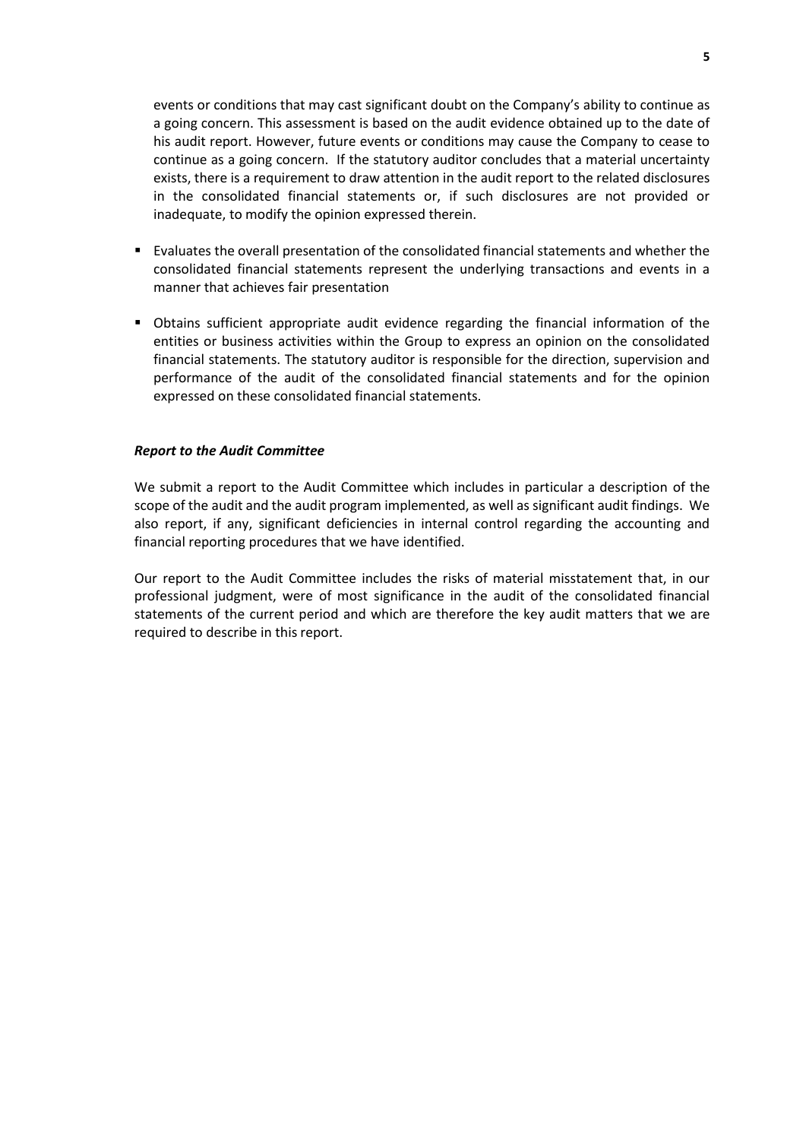events or conditions that may cast significant doubt on the Company's ability to continue as a going concern. This assessment is based on the audit evidence obtained up to the date of his audit report. However, future events or conditions may cause the Company to cease to continue as a going concern. If the statutory auditor concludes that a material uncertainty exists, there is a requirement to draw attention in the audit report to the related disclosures in the consolidated financial statements or, if such disclosures are not provided or inadequate, to modify the opinion expressed therein.

- Evaluates the overall presentation of the consolidated financial statements and whether the consolidated financial statements represent the underlying transactions and events in a manner that achieves fair presentation
- Obtains sufficient appropriate audit evidence regarding the financial information of the entities or business activities within the Group to express an opinion on the consolidated financial statements. The statutory auditor is responsible for the direction, supervision and performance of the audit of the consolidated financial statements and for the opinion expressed on these consolidated financial statements.

#### *Report to the Audit Committee*

We submit a report to the Audit Committee which includes in particular a description of the scope of the audit and the audit program implemented, as well as significant audit findings. We also report, if any, significant deficiencies in internal control regarding the accounting and financial reporting procedures that we have identified.

Our report to the Audit Committee includes the risks of material misstatement that, in our professional judgment, were of most significance in the audit of the consolidated financial statements of the current period and which are therefore the key audit matters that we are required to describe in this report.